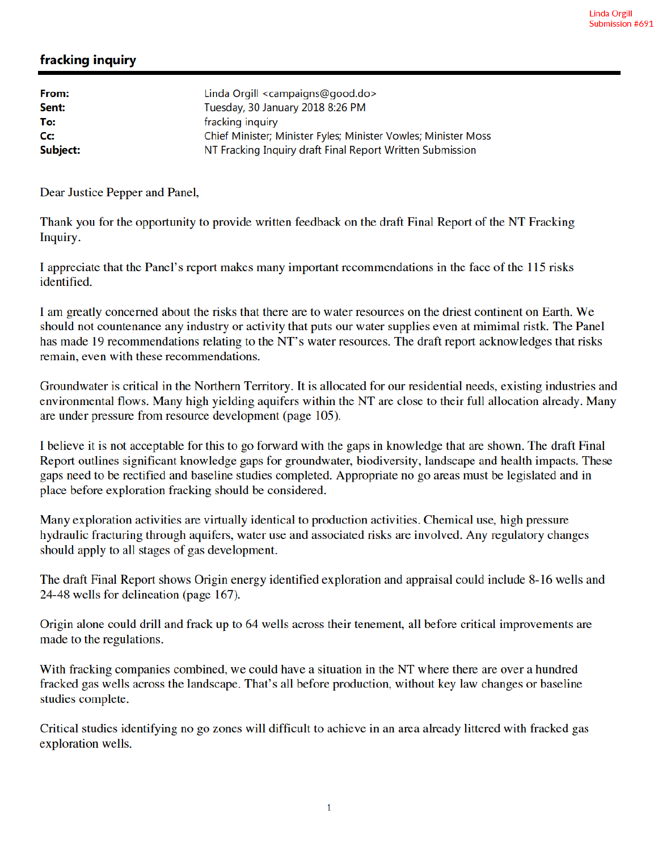## fracking inquiry

| From:    | Linda Orgill <campaigns@good.do></campaigns@good.do>           |
|----------|----------------------------------------------------------------|
| Sent:    | Tuesday, 30 January 2018 8:26 PM                               |
| To:      | fracking inquiry                                               |
| Cc:      | Chief Minister; Minister Fyles; Minister Vowles; Minister Moss |
| Subject: | NT Fracking Inquiry draft Final Report Written Submission      |

Dear Justice Pepper and Panel,

Thank you for the opportunity to provide written feedback on the draft Final Report of the NT Fracking Inquiry.

I appreciate that the Panel's report makes many important recommendations in the face of the 115 risks identified.

I am greatly concerned about the risks that there are to water resources on the driest continent on Earth. We should not countenance any industry or activity that puts our water supplies even at mimimal ristk. The Panel has made 19 recommendations relating to the NT's water resources. The draft report acknowledges that risks remain, even with these recommendations.

Groundwater is critical in the Northern Territory. It is allocated for our residential needs, existing industries and environmental flows. Many high yielding aquifers within the NT are close to their full allocation already. Many are under pressure from resource development (page 105).

I believe it is not acceptable for this to go forward with the gaps in knowledge that are shown. The draft Final Report outlines significant knowledge gaps for groundwater, biodiversity, landscape and health impacts. These gaps need to be rectified and baseline studies completed. Appropriate no go areas must be legislated and in place before exploration fracking should be considered.

Many exploration activities are virtually identical to production activities. Chemical use, high pressure hydraulic fracturing through aquifers, water use and associated risks are involved. Any regulatory changes should apply to all stages of gas development.

The draft Final Report shows Origin energy identified exploration and appraisal could include 8-16 wells and 24-48 wells for delineation (page 167).

Origin alone could drill and frack up to 64 wells across their tenement, all before critical improvements are made to the regulations.

With fracking companies combined, we could have a situation in the NT where there are over a hundred fracked gas wells across the landscape. That's all before production, without key law changes or baseline studies complete.

Critical studies identifying no go zones will difficult to achieve in an area already littered with fracked gas exploration wells.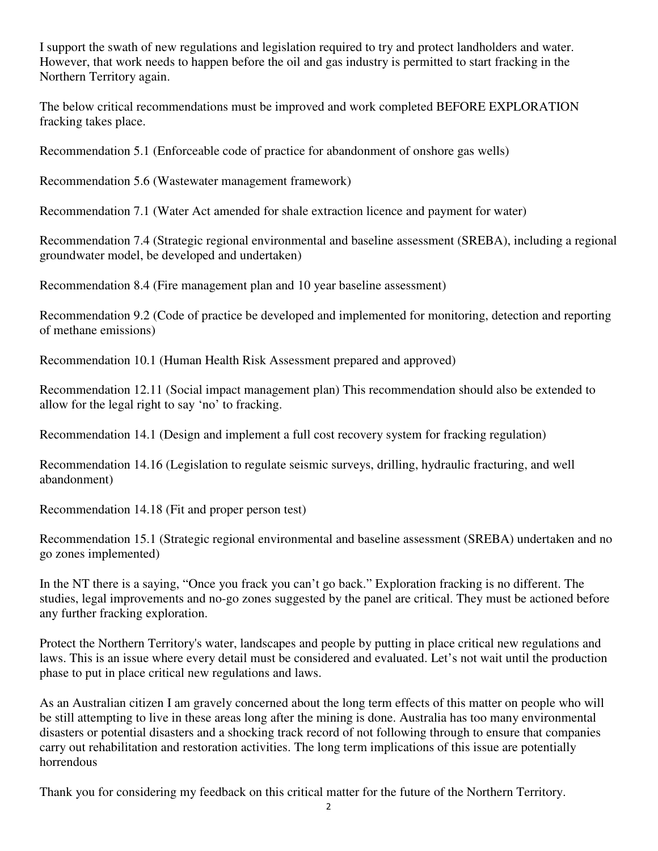I support the swath of new regulations and legislation required to try and protect landholders and water. However, that work needs to happen before the oil and gas industry is permitted to start fracking in the Northern Territory again.

The below critical recommendations must be improved and work completed BEFORE EXPLORATION fracking takes place.

Recommendation 5.1 (Enforceable code of practice for abandonment of onshore gas wells)

Recommendation 5.6 (Wastewater management framework)

Recommendation 7.1 (Water Act amended for shale extraction licence and payment for water)

Recommendation 7.4 (Strategic regional environmental and baseline assessment (SREBA), including a regional groundwater model, be developed and undertaken)

Recommendation 8.4 (Fire management plan and 10 year baseline assessment)

Recommendation 9.2 (Code of practice be developed and implemented for monitoring, detection and reporting of methane emissions)

Recommendation 10.1 (Human Health Risk Assessment prepared and approved)

Recommendation 12.11 (Social impact management plan) This recommendation should also be extended to allow for the legal right to say 'no' to fracking.

Recommendation 14.1 (Design and implement a full cost recovery system for fracking regulation)

Recommendation 14.16 (Legislation to regulate seismic surveys, drilling, hydraulic fracturing, and well abandonment)

Recommendation 14.18 (Fit and proper person test)

Recommendation 15.1 (Strategic regional environmental and baseline assessment (SREBA) undertaken and no go zones implemented)

In the NT there is a saying, "Once you frack you can't go back." Exploration fracking is no different. The studies, legal improvements and no-go zones suggested by the panel are critical. They must be actioned before any further fracking exploration.

Protect the Northern Territory's water, landscapes and people by putting in place critical new regulations and laws. This is an issue where every detail must be considered and evaluated. Let's not wait until the production phase to put in place critical new regulations and laws.

As an Australian citizen I am gravely concerned about the long term effects of this matter on people who will be still attempting to live in these areas long after the mining is done. Australia has too many environmental disasters or potential disasters and a shocking track record of not following through to ensure that companies carry out rehabilitation and restoration activities. The long term implications of this issue are potentially horrendous

Thank you for considering my feedback on this critical matter for the future of the Northern Territory.